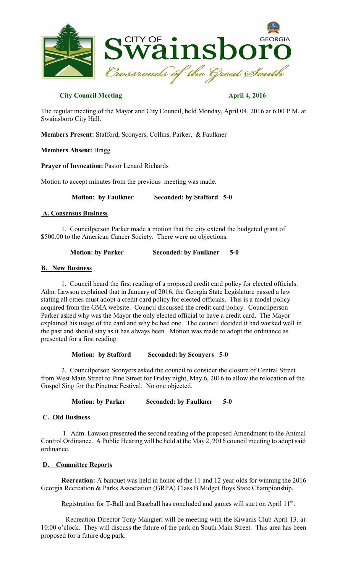

## **City Council Meeting April 4, 2016**

The regular meeting of the Mayor and City Council, held Monday, April 04, 2016 at 6:00 P.M. at Swainsboro City Hall.

**Members Present:** Stafford, Sconyers, Collins, Parker, & Faulkner

**Members Absent:** Bragg

**Prayer of Invocation:** Pastor Lenard Richards

Motion to accept minutes from the previous meeting was made.

**Motion: by Faulkner** Seconded: by Stafford 5-0

## **A. Consensus Business**

1. Councilperson Parker made a motion that the city extend the budgeted grant of \$500.00 to the American Cancer Society. There were no objections.

**Motion:** by Parker Seconded: by Faulkner 5-0

## **B. New Business**

1. Council heard the first reading of a proposed credit card policy for elected officials. Adm. Lawson explained that in January of 2016, the Georgia State Legislature passed a law stating all cities must adopt a credit card policy for elected officials. This is a model policy acquired from the GMA website. Council discussed the credit card policy. Councilperson Parker asked why was the Mayor the only elected official to have a credit card. The Mayor explained his usage of the card and why he had one. The council decided it had worked well in the past and should stay as it has always been. Motion was made to adopt the ordinance as presented for a first reading.

 **Motion: by Stafford Seconded: by Sconyers 5-0** 

 2. Councilperson Sconyers asked the council to consider the closure of Central Street from West Main Street to Pine Street for Friday night, May 6, 2016 to allow the relocation of the Gospel Sing for the Pinetree Festival. No one objected.

**Motion: by Parker Seconded: by Faulkner 5-0**

# **C. Old Business**

1. Adm. Lawson presented the second reading of the proposed Amendment to the Animal Control Ordinance. A Public Hearing will be held at the May 2, 2016 council meeting to adopt said ordinance.

# **D. Committee Reports**

 **Recreation:** A banquet was held in honor of the 11 and 12 year olds for winning the 2016 Georgia Recreation & Parks Association (GRPA) Class B Midget Boys State Championship.

Registration for T-Ball and Baseball has concluded and games will start on April  $11<sup>th</sup>$ .

Recreation Director Tony Mangieri will be meeting with the Kiwanis Club April 13, at 10:00 o'clock. They will discuss the future of the park on South Main Street. This area has been proposed for a future dog park.